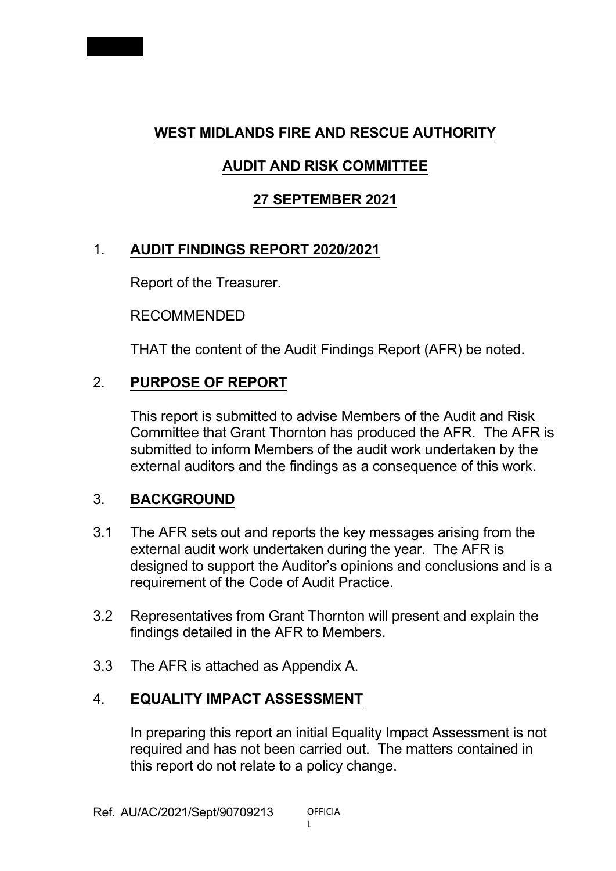

## **AUDIT AND RISK COMMITTEE**

## **27 SEPTEMBER 2021**

# 1. **AUDIT FINDINGS REPORT 2020/2021**

Report of the Treasurer.

RECOMMENDED

THAT the content of the Audit Findings Report (AFR) be noted.

## 2. **PURPOSE OF REPORT**

This report is submitted to advise Members of the Audit and Risk Committee that Grant Thornton has produced the AFR. The AFR is submitted to inform Members of the audit work undertaken by the external auditors and the findings as a consequence of this work.

## 3. **BACKGROUND**

- 3.1 The AFR sets out and reports the key messages arising from the external audit work undertaken during the year. The AFR is designed to support the Auditor's opinions and conclusions and is a requirement of the Code of Audit Practice.
- 3.2 Representatives from Grant Thornton will present and explain the findings detailed in the AFR to Members.
- 3.3 The AFR is attached as Appendix A.

## 4. **EQUALITY IMPACT ASSESSMENT**

In preparing this report an initial Equality Impact Assessment is not required and has not been carried out. The matters contained in this report do not relate to a policy change.